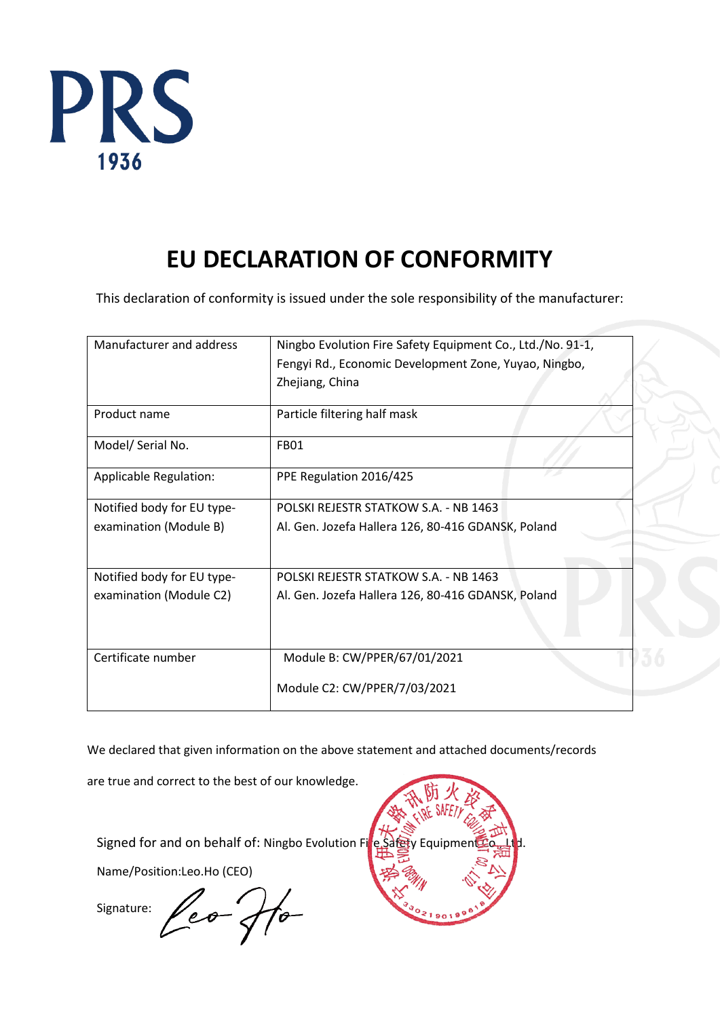

# **EU DECLARATION OF CONFORMITY**

This declaration of conformity is issued under the sole responsibility of the manufacturer:

| Manufacturer and address   | Ningbo Evolution Fire Safety Equipment Co., Ltd./No. 91-1, |  |  |  |
|----------------------------|------------------------------------------------------------|--|--|--|
|                            | Fengyi Rd., Economic Development Zone, Yuyao, Ningbo,      |  |  |  |
|                            | Zhejiang, China                                            |  |  |  |
| Product name               | Particle filtering half mask                               |  |  |  |
| Model/ Serial No.          | <b>FB01</b>                                                |  |  |  |
| Applicable Regulation:     | PPE Regulation 2016/425                                    |  |  |  |
| Notified body for EU type- | POLSKI REJESTR STATKOW S.A. - NB 1463                      |  |  |  |
| examination (Module B)     | Al. Gen. Jozefa Hallera 126, 80-416 GDANSK, Poland         |  |  |  |
|                            |                                                            |  |  |  |
| Notified body for EU type- | POLSKI REJESTR STATKOW S.A. - NB 1463                      |  |  |  |
| examination (Module C2)    | Al. Gen. Jozefa Hallera 126, 80-416 GDANSK, Poland         |  |  |  |
|                            |                                                            |  |  |  |
| Certificate number         | Module B: CW/PPER/67/01/2021                               |  |  |  |
|                            | Module C2: CW/PPER/7/03/2021                               |  |  |  |

We declared that given information on the above statement and attached documents/records

are true and correct to the best of our knowledge.

Signed for and on behalf of: Ningbo Evolution Fire Safety Equipment

Name/Position:Leo.Ho (CEO)

leo fo Signature:

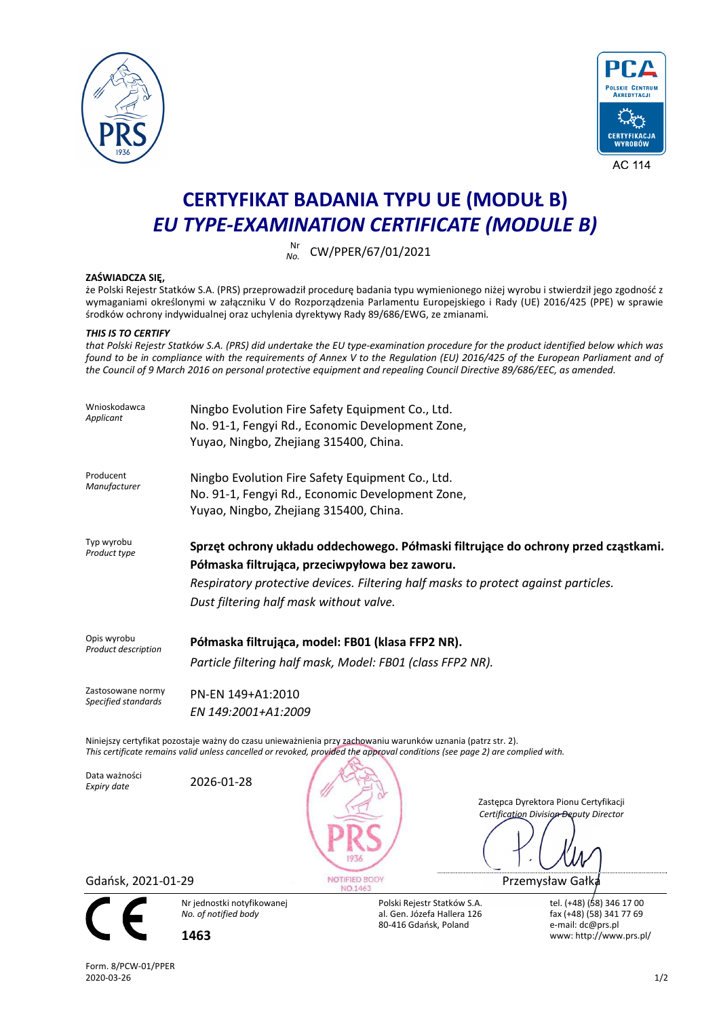



# **CERTYFIKAT BADANIA TYPU UE (MODUŁ B)**  *EU TYPE-EXAMINATION CERTIFICATE (MODULE B)*

Nr<br>*No*. *No.* CW/PPER/67/01/2021

## **ZAŚWIADCZA SIĘ,**

że Polski Rejestr Statków S.A. (PRS) przeprowadził procedurę badania typu wymienionego niżej wyrobu i stwierdził jego zgodność z wymaganiami określonymi w załączniku V do Rozporządzenia Parlamentu Europejskiego i Rady (UE) 2016/425 (PPE) w sprawie środków ochrony indywidualnej oraz uchylenia dyrektywy Rady 89/686/EWG, ze zmianami*.* 

### *THIS IS TO CERTIFY*

*that Polski Rejestr Statków S.A. (PRS) did undertake the EU type-examination procedure for the product identified below which was found to be in compliance with the requirements of Annex V to the Regulation (EU) 2016/425 of the European Parliament and of the Council of 9 March 2016 on personal protective equipment and repealing Council Directive 89/686/EEC, as amended.* 

| Wnioskodawca<br>Applicant                                                                                                                                                                                                                    | Ningbo Evolution Fire Safety Equipment Co., Ltd.<br>No. 91-1, Fengyi Rd., Economic Development Zone,<br>Yuyao, Ningbo, Zhejiang 315400, China.                                                                                                                        |                                                                                     |                                                                                                       |  |  |  |
|----------------------------------------------------------------------------------------------------------------------------------------------------------------------------------------------------------------------------------------------|-----------------------------------------------------------------------------------------------------------------------------------------------------------------------------------------------------------------------------------------------------------------------|-------------------------------------------------------------------------------------|-------------------------------------------------------------------------------------------------------|--|--|--|
| Producent<br>Manufacturer                                                                                                                                                                                                                    | Ningbo Evolution Fire Safety Equipment Co., Ltd.<br>No. 91-1, Fengyi Rd., Economic Development Zone,<br>Yuyao, Ningbo, Zhejiang 315400, China.                                                                                                                        |                                                                                     |                                                                                                       |  |  |  |
| Typ wyrobu<br>Product type                                                                                                                                                                                                                   | Sprzęt ochrony układu oddechowego. Półmaski filtrujące do ochrony przed cząstkami.<br>Półmaska filtrująca, przeciwpyłowa bez zaworu.<br>Respiratory protective devices. Filtering half masks to protect against particles.<br>Dust filtering half mask without valve. |                                                                                     |                                                                                                       |  |  |  |
| Opis wyrobu<br>Product description                                                                                                                                                                                                           | Półmaska filtrująca, model: FB01 (klasa FFP2 NR).<br>Particle filtering half mask, Model: FB01 (class FFP2 NR).                                                                                                                                                       |                                                                                     |                                                                                                       |  |  |  |
| Zastosowane normy<br>Specified standards                                                                                                                                                                                                     | PN-EN 149+A1:2010<br>EN 149:2001+A1:2009                                                                                                                                                                                                                              |                                                                                     |                                                                                                       |  |  |  |
| Niniejszy certyfikat pozostaje ważny do czasu unieważnienia przy zachowaniu warunków uznania (patrz str. 2).<br>This certificate remains valid unless cancelled or revoked, provided the approval conditions (see page 2) are complied with. |                                                                                                                                                                                                                                                                       |                                                                                     |                                                                                                       |  |  |  |
| Data ważności<br>Expiry date                                                                                                                                                                                                                 | 2026-01-28                                                                                                                                                                                                                                                            |                                                                                     | Zastępca Dyrektora Pionu Certyfikacji<br>Certification Division-Beputy Director                       |  |  |  |
| NOTIFIED BODY<br>Gdańsk, 2021-01-29<br>NO.1463                                                                                                                                                                                               |                                                                                                                                                                                                                                                                       |                                                                                     | Przemysław Gałka                                                                                      |  |  |  |
|                                                                                                                                                                                                                                              | Nr jednostki notyfikowanej<br>No. of notified body<br>1463                                                                                                                                                                                                            | Polski Rejestr Statków S.A.<br>al. Gen. Józefa Hallera 126<br>80-416 Gdańsk, Poland | tel. (+48) (58) 346 17 00<br>fax (+48) (58) 341 77 69<br>e-mail: dc@prs.pl<br>www: http://www.prs.pl/ |  |  |  |